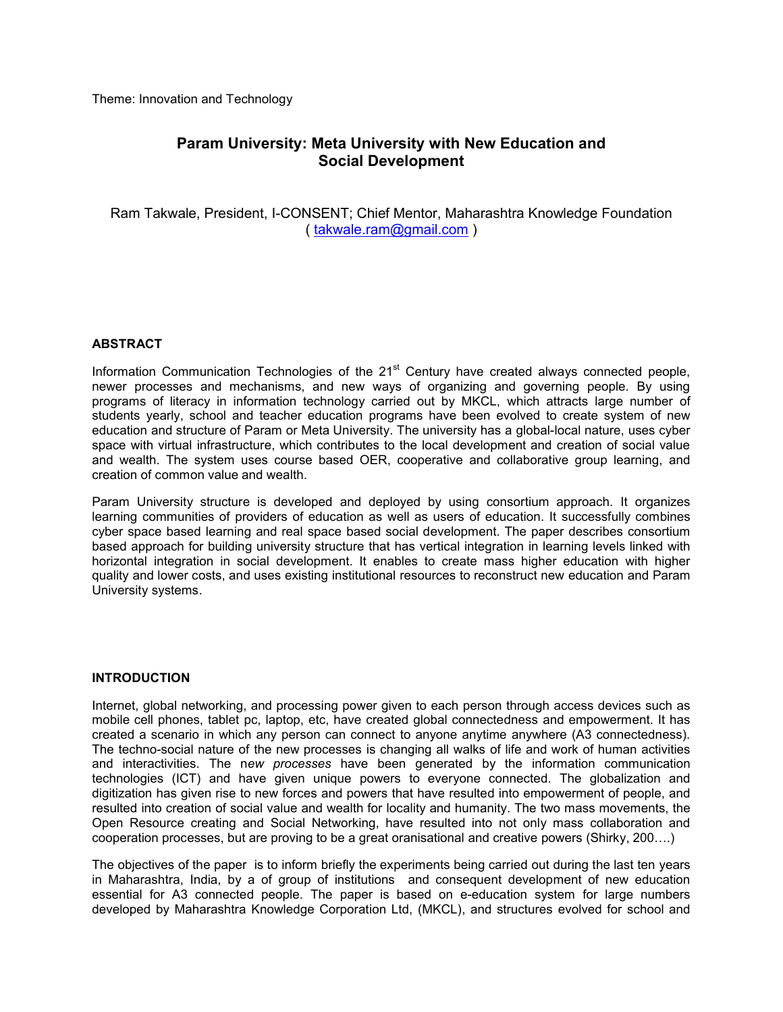Theme: Innovation and Technology

# **Param University: Meta University with New Education and Social Development**

Ram Takwale, President, I-CONSENT; Chief Mentor, Maharashtra Knowledge Foundation ( takwale.ram@gmail.com )

# **ABSTRACT**

Information Communication Technologies of the 21<sup>st</sup> Century have created always connected people, newer processes and mechanisms, and new ways of organizing and governing people. By using programs of literacy in information technology carried out by MKCL, which attracts large number of students yearly, school and teacher education programs have been evolved to create system of new education and structure of Param or Meta University. The university has a global-local nature, uses cyber space with virtual infrastructure, which contributes to the local development and creation of social value and wealth. The system uses course based OER, cooperative and collaborative group learning, and creation of common value and wealth.

Param University structure is developed and deployed by using consortium approach. It organizes learning communities of providers of education as well as users of education. It successfully combines cyber space based learning and real space based social development. The paper describes consortium based approach for building university structure that has vertical integration in learning levels linked with horizontal integration in social development. It enables to create mass higher education with higher quality and lower costs, and uses existing institutional resources to reconstruct new education and Param University systems.

# **INTRODUCTION**

Internet, global networking, and processing power given to each person through access devices such as mobile cell phones, tablet pc, laptop, etc, have created global connectedness and empowerment. It has created a scenario in which any person can connect to anyone anytime anywhere (A3 connectedness). The techno-social nature of the new processes is changing all walks of life and work of human activities and interactivities. The n*ew processes* have been generated by the information communication technologies (ICT) and have given unique powers to everyone connected. The globalization and digitization has given rise to new forces and powers that have resulted into empowerment of people, and resulted into creation of social value and wealth for locality and humanity. The two mass movements, the Open Resource creating and Social Networking, have resulted into not only mass collaboration and cooperation processes, but are proving to be a great oranisational and creative powers (Shirky, 200….)

The objectives of the paper is to inform briefly the experiments being carried out during the last ten years in Maharashtra, India, by a of group of institutions and consequent development of new education essential for A3 connected people. The paper is based on e-education system for large numbers developed by Maharashtra Knowledge Corporation Ltd, (MKCL), and structures evolved for school and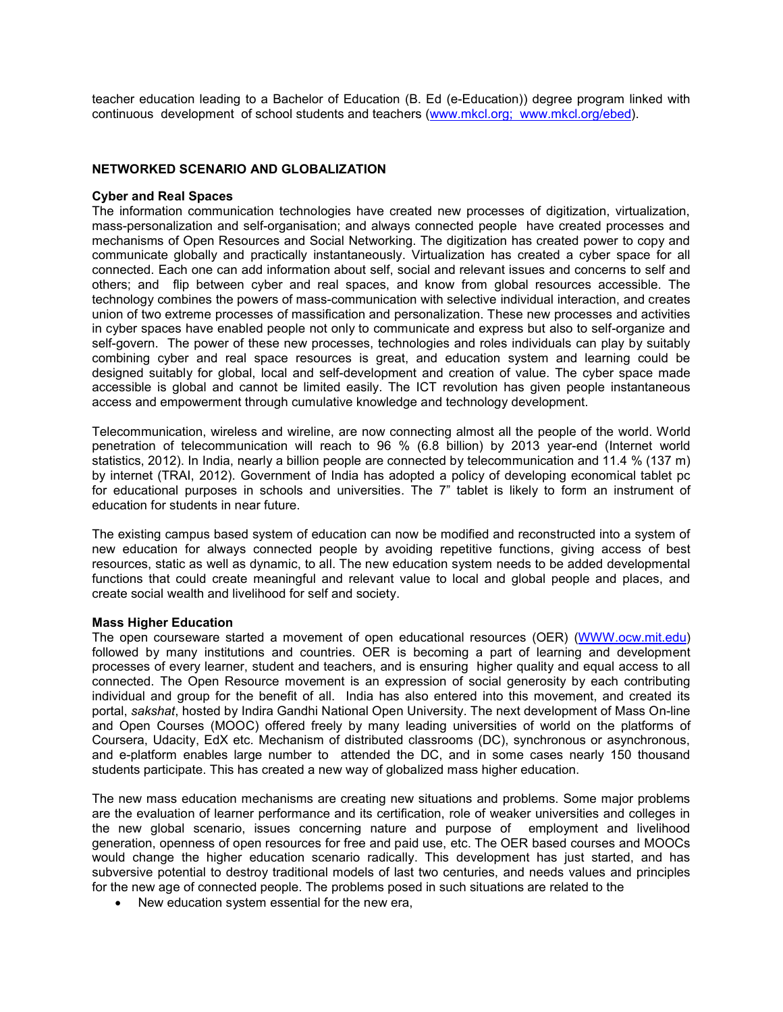teacher education leading to a Bachelor of Education (B. Ed (e-Education)) degree program linked with continuous development of school students and teachers [\(www.mkcl.org;](http://www.mkcl.org/) www.mkcl.org/ebed).

### **NETWORKED SCENARIO AND GLOBALIZATION**

#### **Cyber and Real Spaces**

The information communication technologies have created new processes of digitization, virtualization, mass-personalization and self-organisation; and always connected people have created processes and mechanisms of Open Resources and Social Networking. The digitization has created power to copy and communicate globally and practically instantaneously. Virtualization has created a cyber space for all connected. Each one can add information about self, social and relevant issues and concerns to self and others; and flip between cyber and real spaces, and know from global resources accessible. The technology combines the powers of mass-communication with selective individual interaction, and creates union of two extreme processes of massification and personalization. These new processes and activities in cyber spaces have enabled people not only to communicate and express but also to self-organize and self-govern. The power of these new processes, technologies and roles individuals can play by suitably combining cyber and real space resources is great, and education system and learning could be designed suitably for global, local and self-development and creation of value. The cyber space made accessible is global and cannot be limited easily. The ICT revolution has given people instantaneous access and empowerment through cumulative knowledge and technology development.

Telecommunication, wireless and wireline, are now connecting almost all the people of the world. World penetration of telecommunication will reach to 96 % (6.8 billion) by 2013 year-end (Internet world statistics, 2012). In India, nearly a billion people are connected by telecommunication and 11.4 % (137 m) by internet (TRAI, 2012). Government of India has adopted a policy of developing economical tablet pc for educational purposes in schools and universities. The 7" tablet is likely to form an instrument of education for students in near future.

The existing campus based system of education can now be modified and reconstructed into a system of new education for always connected people by avoiding repetitive functions, giving access of best resources, static as well as dynamic, to all. The new education system needs to be added developmental functions that could create meaningful and relevant value to local and global people and places, and create social wealth and livelihood for self and society.

#### **Mass Higher Education**

The open courseware started a movement of open educational resources (OER) [\(WWW.ocw.mit.edu\)](http://www.ocw.mit.edu/) followed by many institutions and countries. OER is becoming a part of learning and development processes of every learner, student and teachers, and is ensuring higher quality and equal access to all connected. The Open Resource movement is an expression of social generosity by each contributing individual and group for the benefit of all. India has also entered into this movement, and created its portal, *sakshat*, hosted by Indira Gandhi National Open University. The next development of Mass On-line and Open Courses (MOOC) offered freely by many leading universities of world on the platforms of Coursera, Udacity, EdX etc. Mechanism of distributed classrooms (DC), synchronous or asynchronous, and e-platform enables large number to attended the DC, and in some cases nearly 150 thousand students participate. This has created a new way of globalized mass higher education.

The new mass education mechanisms are creating new situations and problems. Some major problems are the evaluation of learner performance and its certification, role of weaker universities and colleges in the new global scenario, issues concerning nature and purpose of employment and livelihood generation, openness of open resources for free and paid use, etc. The OER based courses and MOOCs would change the higher education scenario radically. This development has just started, and has subversive potential to destroy traditional models of last two centuries, and needs values and principles for the new age of connected people. The problems posed in such situations are related to the

■ New education system essential for the new era,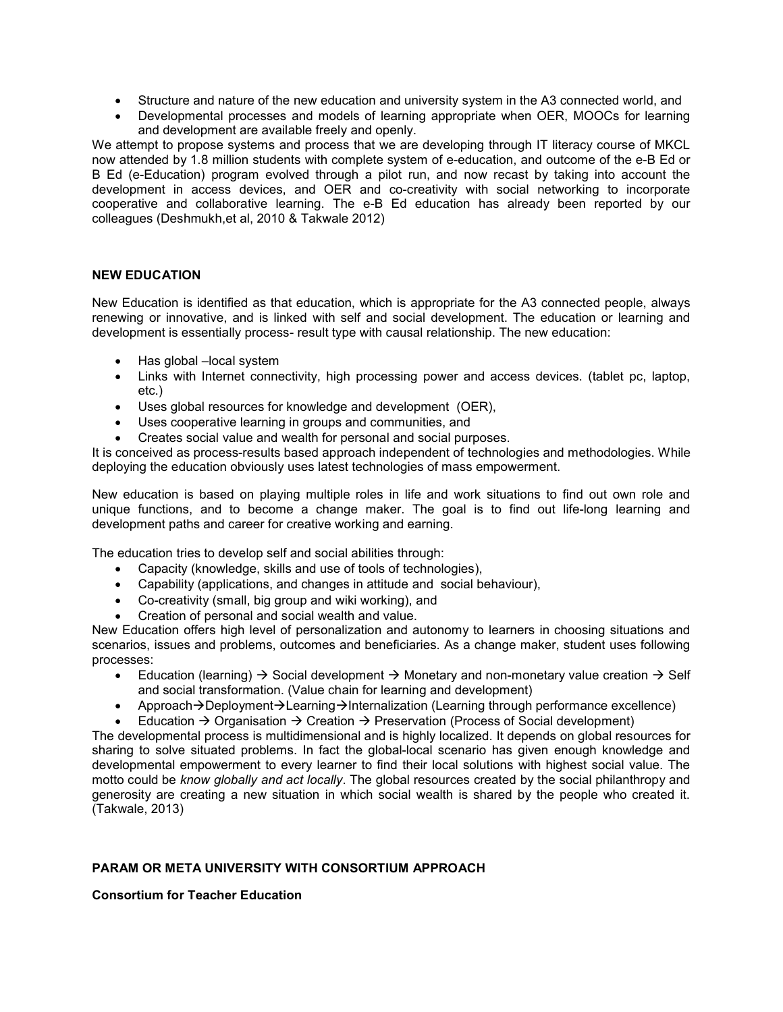- Structure and nature of the new education and university system in the A3 connected world, and
- ∑ Developmental processes and models of learning appropriate when OER, MOOCs for learning and development are available freely and openly.

We attempt to propose systems and process that we are developing through IT literacy course of MKCL now attended by 1.8 million students with complete system of e-education, and outcome of the e-B Ed or B Ed (e-Education) program evolved through a pilot run, and now recast by taking into account the development in access devices, and OER and co-creativity with social networking to incorporate cooperative and collaborative learning. The e-B Ed education has already been reported by our colleagues (Deshmukh,et al, 2010 & Takwale 2012)

# **NEW EDUCATION**

New Education is identified as that education, which is appropriate for the A3 connected people, always renewing or innovative, and is linked with self and social development. The education or learning and development is essentially process- result type with causal relationship. The new education:

- Has global –local system
- Links with Internet connectivity, high processing power and access devices. (tablet pc, laptop, etc.)
- Uses global resources for knowledge and development (OER),
- Uses cooperative learning in groups and communities, and
- Creates social value and wealth for personal and social purposes.

It is conceived as process-results based approach independent of technologies and methodologies. While deploying the education obviously uses latest technologies of mass empowerment.

New education is based on playing multiple roles in life and work situations to find out own role and unique functions, and to become a change maker. The goal is to find out life-long learning and development paths and career for creative working and earning.

The education tries to develop self and social abilities through:

- Capacity (knowledge, skills and use of tools of technologies),
- Capability (applications, and changes in attitude and social behaviour),
- ∑ Co-creativity (small, big group and wiki working), and
- ∑ Creation of personal and social wealth and value.

New Education offers high level of personalization and autonomy to learners in choosing situations and scenarios, issues and problems, outcomes and beneficiaries. As a change maker, student uses following processes:

- Education (learning)  $\rightarrow$  Social development  $\rightarrow$  Monetary and non-monetary value creation  $\rightarrow$  Self and social transformation. (Value chain for learning and development)
- Approach  $\rightarrow$  Deployment  $\rightarrow$  Learning  $\rightarrow$  Internalization (Learning through performance excellence)
- Education  $\rightarrow$  Organisation  $\rightarrow$  Creation  $\rightarrow$  Preservation (Process of Social development)

The developmental process is multidimensional and is highly localized. It depends on global resources for sharing to solve situated problems. In fact the global-local scenario has given enough knowledge and developmental empowerment to every learner to find their local solutions with highest social value. The motto could be *know globally and act locally*. The global resources created by the social philanthropy and generosity are creating a new situation in which social wealth is shared by the people who created it. (Takwale, 2013)

# **PARAM OR META UNIVERSITY WITH CONSORTIUM APPROACH**

**Consortium for Teacher Education**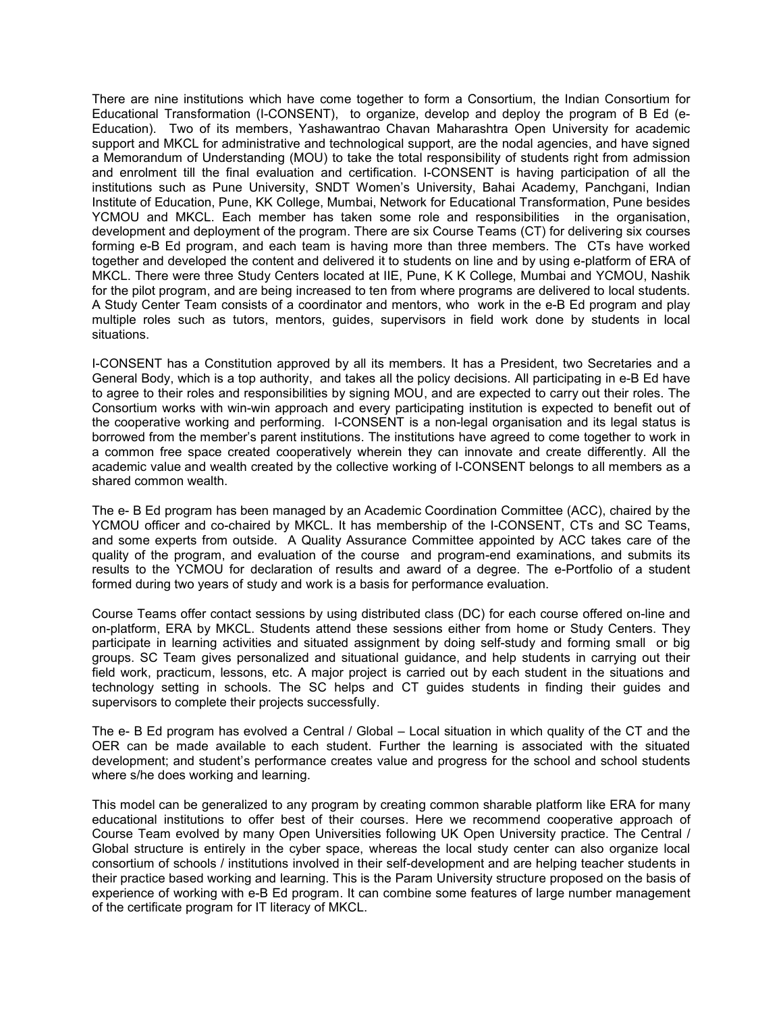There are nine institutions which have come together to form a Consortium, the Indian Consortium for Educational Transformation (I-CONSENT), to organize, develop and deploy the program of B Ed (e-Education). Two of its members, Yashawantrao Chavan Maharashtra Open University for academic support and MKCL for administrative and technological support, are the nodal agencies, and have signed a Memorandum of Understanding (MOU) to take the total responsibility of students right from admission and enrolment till the final evaluation and certification. I-CONSENT is having participation of all the institutions such as Pune University, SNDT Women's University, Bahai Academy, Panchgani, Indian Institute of Education, Pune, KK College, Mumbai, Network for Educational Transformation, Pune besides YCMOU and MKCL. Each member has taken some role and responsibilities in the organisation, development and deployment of the program. There are six Course Teams (CT) for delivering six courses forming e-B Ed program, and each team is having more than three members. The CTs have worked together and developed the content and delivered it to students on line and by using e-platform of ERA of MKCL. There were three Study Centers located at IIE, Pune, K K College, Mumbai and YCMOU, Nashik for the pilot program, and are being increased to ten from where programs are delivered to local students. A Study Center Team consists of a coordinator and mentors, who work in the e-B Ed program and play multiple roles such as tutors, mentors, guides, supervisors in field work done by students in local situations.

I-CONSENT has a Constitution approved by all its members. It has a President, two Secretaries and a General Body, which is a top authority, and takes all the policy decisions. All participating in e-B Ed have to agree to their roles and responsibilities by signing MOU, and are expected to carry out their roles. The Consortium works with win-win approach and every participating institution is expected to benefit out of the cooperative working and performing. I-CONSENT is a non-legal organisation and its legal status is borrowed from the member's parent institutions. The institutions have agreed to come together to work in a common free space created cooperatively wherein they can innovate and create differently. All the academic value and wealth created by the collective working of I-CONSENT belongs to all members as a shared common wealth.

The e- B Ed program has been managed by an Academic Coordination Committee (ACC), chaired by the YCMOU officer and co-chaired by MKCL. It has membership of the I-CONSENT, CTs and SC Teams, and some experts from outside. A Quality Assurance Committee appointed by ACC takes care of the quality of the program, and evaluation of the course and program-end examinations, and submits its results to the YCMOU for declaration of results and award of a degree. The e-Portfolio of a student formed during two years of study and work is a basis for performance evaluation.

Course Teams offer contact sessions by using distributed class (DC) for each course offered on-line and on-platform, ERA by MKCL. Students attend these sessions either from home or Study Centers. They participate in learning activities and situated assignment by doing self-study and forming small or big groups. SC Team gives personalized and situational guidance, and help students in carrying out their field work, practicum, lessons, etc. A major project is carried out by each student in the situations and technology setting in schools. The SC helps and CT guides students in finding their guides and supervisors to complete their projects successfully.

The e- B Ed program has evolved a Central / Global – Local situation in which quality of the CT and the OER can be made available to each student. Further the learning is associated with the situated development; and student's performance creates value and progress for the school and school students where s/he does working and learning.

This model can be generalized to any program by creating common sharable platform like ERA for many educational institutions to offer best of their courses. Here we recommend cooperative approach of Course Team evolved by many Open Universities following UK Open University practice. The Central / Global structure is entirely in the cyber space, whereas the local study center can also organize local consortium of schools / institutions involved in their self-development and are helping teacher students in their practice based working and learning. This is the Param University structure proposed on the basis of experience of working with e-B Ed program. It can combine some features of large number management of the certificate program for IT literacy of MKCL.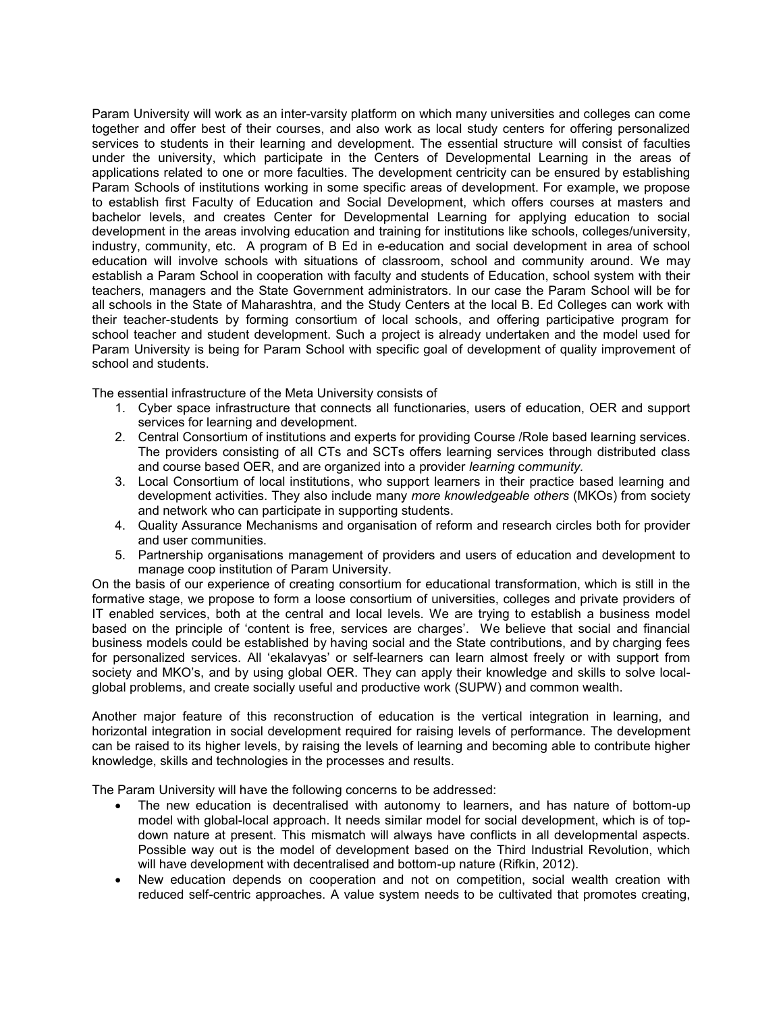Param University will work as an inter-varsity platform on which many universities and colleges can come together and offer best of their courses, and also work as local study centers for offering personalized services to students in their learning and development. The essential structure will consist of faculties under the university, which participate in the Centers of Developmental Learning in the areas of applications related to one or more faculties. The development centricity can be ensured by establishing Param Schools of institutions working in some specific areas of development. For example, we propose to establish first Faculty of Education and Social Development, which offers courses at masters and bachelor levels, and creates Center for Developmental Learning for applying education to social development in the areas involving education and training for institutions like schools, colleges/university, industry, community, etc. A program of B Ed in e-education and social development in area of school education will involve schools with situations of classroom, school and community around. We may establish a Param School in cooperation with faculty and students of Education, school system with their teachers, managers and the State Government administrators. In our case the Param School will be for all schools in the State of Maharashtra, and the Study Centers at the local B. Ed Colleges can work with their teacher-students by forming consortium of local schools, and offering participative program for school teacher and student development. Such a project is already undertaken and the model used for Param University is being for Param School with specific goal of development of quality improvement of school and students.

The essential infrastructure of the Meta University consists of

- 1. Cyber space infrastructure that connects all functionaries, users of education, OER and support services for learning and development.
- 2. Central Consortium of institutions and experts for providing Course /Role based learning services. The providers consisting of all CTs and SCTs offers learning services through distributed class and course based OER, and are organized into a provider *learning* c*ommunity.*
- 3. Local Consortium of local institutions, who support learners in their practice based learning and development activities. They also include many *more knowledgeable others* (MKOs) from society and network who can participate in supporting students.
- 4. Quality Assurance Mechanisms and organisation of reform and research circles both for provider and user communities.
- 5. Partnership organisations management of providers and users of education and development to manage coop institution of Param University.

On the basis of our experience of creating consortium for educational transformation, which is still in the formative stage, we propose to form a loose consortium of universities, colleges and private providers of IT enabled services, both at the central and local levels. We are trying to establish a business model based on the principle of 'content is free, services are charges'. We believe that social and financial business models could be established by having social and the State contributions, and by charging fees for personalized services. All 'ekalavyas' or self-learners can learn almost freely or with support from society and MKO's, and by using global OER. They can apply their knowledge and skills to solve localglobal problems, and create socially useful and productive work (SUPW) and common wealth.

Another major feature of this reconstruction of education is the vertical integration in learning, and horizontal integration in social development required for raising levels of performance. The development can be raised to its higher levels, by raising the levels of learning and becoming able to contribute higher knowledge, skills and technologies in the processes and results.

The Param University will have the following concerns to be addressed:

- The new education is decentralised with autonomy to learners, and has nature of bottom-up model with global-local approach. It needs similar model for social development, which is of topdown nature at present. This mismatch will always have conflicts in all developmental aspects. Possible way out is the model of development based on the Third Industrial Revolution, which will have development with decentralised and bottom-up nature (Rifkin, 2012).
- ∑ New education depends on cooperation and not on competition, social wealth creation with reduced self-centric approaches. A value system needs to be cultivated that promotes creating,